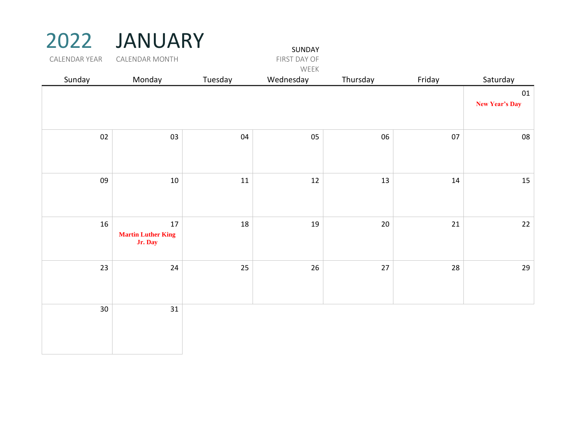| CALENDAR YEAR | 2022 JANUARY<br>CALENDAR MONTH             |         | SUNDAY<br>FIRST DAY OF |          |        |                      |
|---------------|--------------------------------------------|---------|------------------------|----------|--------|----------------------|
| Sunday        | Monday                                     | Tuesday | WEEK<br>Wednesday      | Thursday | Friday | Saturday             |
|               |                                            |         |                        |          |        | 01<br>New Year's Day |
| 02            | 03                                         | 04      | 05                     | 06       | 07     | ${\bf 08}$           |
| 09            | $10\,$                                     | $11\,$  | $12\,$                 | 13       | 14     | 15                   |
| 16            | 17<br><b>Martin Luther King</b><br>Jr. Day | 18      | 19                     | $20\,$   | 21     | 22                   |
| 23            | 24                                         | 25      | 26                     | 27       | 28     | 29                   |
| 30            | 31                                         |         |                        |          |        |                      |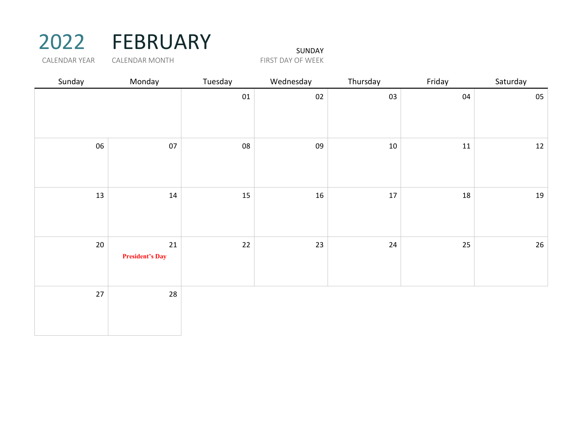### 2022 FEBRUARY SUNDAY

| Sunday | Monday                       | Tuesday    | Wednesday | Thursday | Friday | Saturday |
|--------|------------------------------|------------|-----------|----------|--------|----------|
|        |                              | ${\tt 01}$ | $02\,$    | 03       | 04     | 05       |
| 06     | 07                           | 08         | 09        | $10\,$   | $11\,$ | 12       |
| 13     | $14\,$                       | 15         | $16\,$    | $17\,$   | 18     | 19       |
| 20     | 21<br><b>President's Day</b> | 22         | 23        | 24       | 25     | $26\,$   |
| 27     | 28                           |            |           |          |        |          |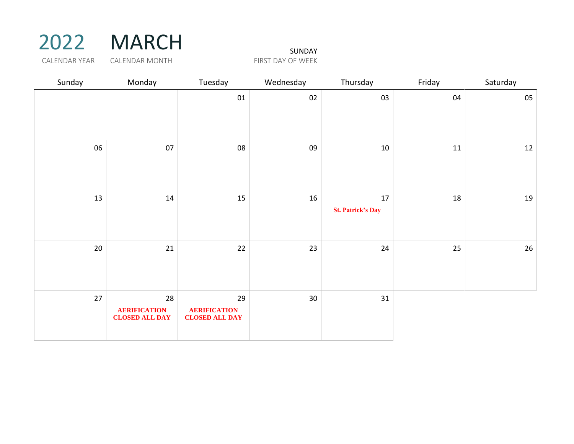

| Sunday | Monday                                             | Tuesday                                            | Wednesday | Thursday                           | Friday | Saturday |
|--------|----------------------------------------------------|----------------------------------------------------|-----------|------------------------------------|--------|----------|
|        |                                                    | ${\tt 01}$                                         | 02        | 03                                 | 04     | 05       |
| 06     | 07                                                 | ${\bf 08}$                                         | 09        | $10\,$                             | $11\,$ | 12       |
| 13     | $14\,$                                             | 15                                                 | 16        | $17\,$<br><b>St. Patrick's Day</b> | 18     | 19       |
| 20     | 21                                                 | 22                                                 | 23        | 24                                 | 25     | 26       |
| 27     | 28<br><b>AERIFICATION</b><br><b>CLOSED ALL DAY</b> | 29<br><b>AERIFICATION</b><br><b>CLOSED ALL DAY</b> | 30        | 31                                 |        |          |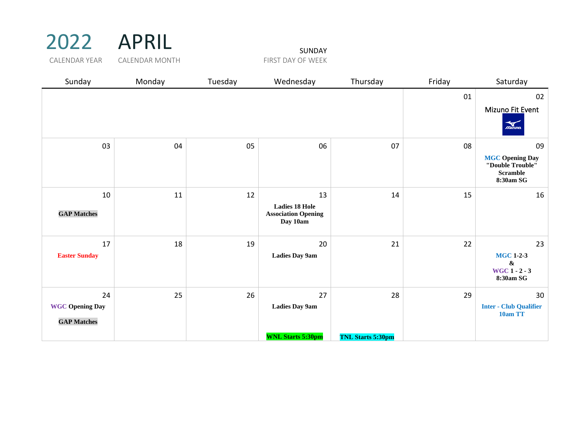| CALENDAR YEAR                                      | <b>CALENDAR MONTH</b> | FIRST DAY OF WEEK |                                                                       |                                |        |                                                                                  |
|----------------------------------------------------|-----------------------|-------------------|-----------------------------------------------------------------------|--------------------------------|--------|----------------------------------------------------------------------------------|
| Sunday                                             | Monday                | Tuesday           | Wednesday                                                             | Thursday                       | Friday | Saturday                                                                         |
|                                                    |                       |                   |                                                                       |                                | 01     | 02<br>Mizuno Fit Event<br>$\gamma$                                               |
| 03                                                 | 04                    | 05                | 06                                                                    | 07                             | 08     | 09<br><b>MGC Opening Day</b><br>"Double Trouble"<br><b>Scramble</b><br>8:30am SG |
| 10<br><b>GAP Matches</b>                           | 11                    | 12                | 13<br><b>Ladies 18 Hole</b><br><b>Association Opening</b><br>Day 10am | 14                             | 15     | 16                                                                               |
| 17<br><b>Easter Sunday</b>                         | 18                    | 19                | 20<br><b>Ladies Day 9am</b>                                           | 21                             | 22     | 23<br><b>MGC 1-2-3</b><br>$\pmb{\&}$<br>WGC 1 - 2 - 3<br>8:30am SG               |
| 24<br><b>WGC Opening Day</b><br><b>GAP Matches</b> | 25                    | 26                | 27<br><b>Ladies Day 9am</b><br><b>WNL Starts 5:30pm</b>               | 28<br><b>TNL Starts 5:30pm</b> | 29     | 30<br><b>Inter - Club Qualifier</b><br>10am TT                                   |
|                                                    |                       |                   |                                                                       |                                |        |                                                                                  |

2022 APRIL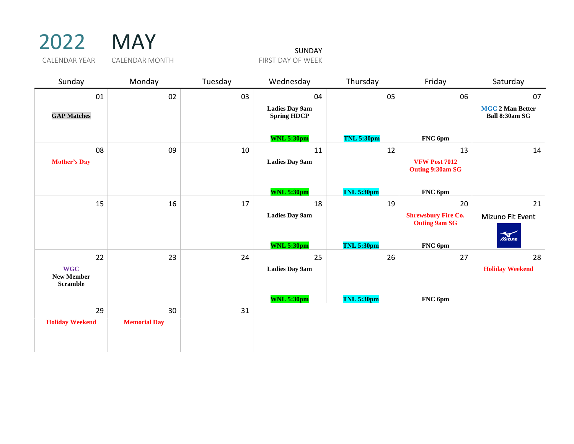### 2022 MAY SUNDAY

| Sunday                                             | Monday              | Tuesday | Wednesday                                   | Thursday          | Friday                                             | Saturday                                  |
|----------------------------------------------------|---------------------|---------|---------------------------------------------|-------------------|----------------------------------------------------|-------------------------------------------|
| 01                                                 | 02                  | 03      | 04                                          | 05                | 06                                                 | 07                                        |
| <b>GAP Matches</b>                                 |                     |         | <b>Ladies Day 9am</b><br><b>Spring HDCP</b> |                   |                                                    | <b>MGC 2 Man Better</b><br>Ball 8:30am SG |
|                                                    |                     |         | <b>WNL 5:30pm</b>                           | <b>TNL 5:30pm</b> | FNC 6pm                                            |                                           |
| 08                                                 | 09                  | 10      | 11                                          | 12                | 13                                                 | 14                                        |
| <b>Mother's Day</b>                                |                     |         | <b>Ladies Day 9am</b>                       |                   | <b>VFW Post 7012</b><br>Outing 9:30am SG           |                                           |
|                                                    |                     |         | <b>WNL 5:30pm</b>                           | <b>TNL 5:30pm</b> | FNC <sub>6pm</sub>                                 |                                           |
| 15                                                 | 16                  | 17      | 18                                          | 19                | 20                                                 | 21                                        |
|                                                    |                     |         | <b>Ladies Day 9am</b>                       |                   | <b>Shrewsbury Fire Co.</b><br><b>Outing 9am SG</b> | Mizuno Fit Event<br>$mz$ uno.             |
|                                                    |                     |         | <b>WNL 5:30pm</b>                           | <b>TNL 5:30pm</b> | FNC 6pm                                            |                                           |
| 22                                                 | 23                  | 24      | 25                                          | 26                | 27                                                 | 28                                        |
| <b>WGC</b><br><b>New Member</b><br><b>Scramble</b> |                     |         | <b>Ladies Day 9am</b>                       |                   |                                                    | <b>Holiday Weekend</b>                    |
|                                                    |                     |         | <b>WNL 5:30pm</b>                           | <b>TNL 5:30pm</b> | FNC <sub>6pm</sub>                                 |                                           |
| 29                                                 | 30                  | 31      |                                             |                   |                                                    |                                           |
| <b>Holiday Weekend</b>                             | <b>Memorial Day</b> |         |                                             |                   |                                                    |                                           |
|                                                    |                     |         |                                             |                   |                                                    |                                           |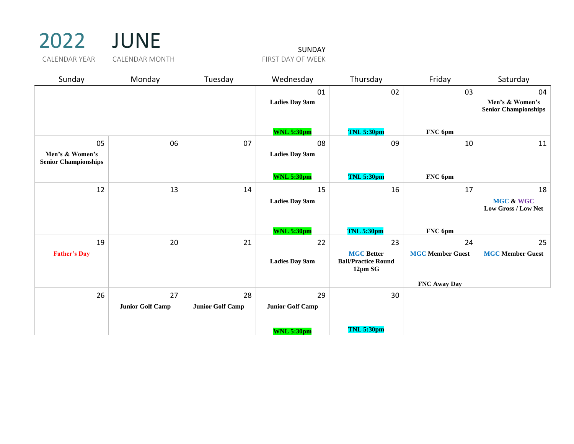| CALENDAR YEAR                                        | CALENDAR MONTH                |                               | FIRST DAY OF WEEK             |                                                                  |                               |                                                      |
|------------------------------------------------------|-------------------------------|-------------------------------|-------------------------------|------------------------------------------------------------------|-------------------------------|------------------------------------------------------|
| Sunday                                               | Monday                        | Tuesday                       | Wednesday                     | Thursday                                                         | Friday                        | Saturday                                             |
|                                                      |                               |                               | 01<br><b>Ladies Day 9am</b>   | 02                                                               | 03                            | 04<br>Men's & Women's<br><b>Senior Championships</b> |
|                                                      |                               |                               | <b>WNL 5:30pm</b>             | <b>TNL 5:30pm</b>                                                | FNC 6pm                       |                                                      |
| 05<br>Men's & Women's<br><b>Senior Championships</b> | 06                            | 07                            | 08<br><b>Ladies Day 9am</b>   | 09                                                               | 10                            | 11                                                   |
|                                                      |                               |                               | <b>WNL 5:30pm</b>             | <b>TNL 5:30pm</b>                                                | FNC 6pm                       |                                                      |
| 12                                                   | 13                            | 14                            | 15<br><b>Ladies Day 9am</b>   | 16                                                               | 17                            | 18<br><b>MGC &amp; WGC</b><br>Low Gross / Low Net    |
|                                                      |                               |                               | <b>WNL 5:30pm</b>             | <b>TNL 5:30pm</b>                                                | FNC 6pm                       |                                                      |
| 19<br><b>Father's Day</b>                            | 20                            | 21                            | 22<br><b>Ladies Day 9am</b>   | 23<br><b>MGC Better</b><br><b>Ball/Practice Round</b><br>12pm SG | 24<br><b>MGC Member Guest</b> | 25<br><b>MGC Member Guest</b>                        |
|                                                      |                               |                               |                               |                                                                  | <b>FNC Away Day</b>           |                                                      |
| 26                                                   | 27<br><b>Junior Golf Camp</b> | 28<br><b>Junior Golf Camp</b> | 29<br><b>Junior Golf Camp</b> | 30                                                               |                               |                                                      |
|                                                      |                               |                               | <b>WNL 5:30pm</b>             | <b>TNL 5:30pm</b>                                                |                               |                                                      |

2022 JUNE SUNDAY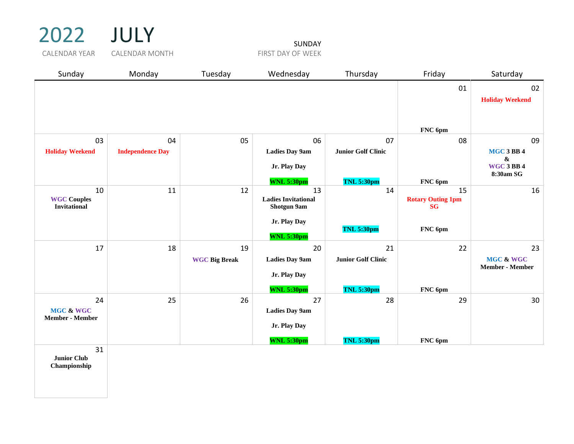| 2022 JULY<br>CALENDAR YEAR                      | <b>CALENDAR MONTH</b>         |                            | SUNDAY<br>FIRST DAY OF WEEK                                     |                                 |                                                                   |                                                                         |
|-------------------------------------------------|-------------------------------|----------------------------|-----------------------------------------------------------------|---------------------------------|-------------------------------------------------------------------|-------------------------------------------------------------------------|
| Sunday                                          | Monday                        | Tuesday                    | Wednesday                                                       | Thursday                        | Friday                                                            | Saturday                                                                |
|                                                 |                               |                            |                                                                 |                                 | 01                                                                | 02<br><b>Holiday Weekend</b>                                            |
|                                                 |                               |                            |                                                                 |                                 | FNC <sub>6pm</sub>                                                |                                                                         |
| 03<br><b>Holiday Weekend</b>                    | 04<br><b>Independence Day</b> | 05                         | 06<br><b>Ladies Day 9am</b><br>Jr. Play Day                     | 07<br><b>Junior Golf Clinic</b> | 08                                                                | 09<br><b>MGC 3 BB 4</b><br>$\pmb{\&}$<br><b>WGC 3 BB 4</b><br>8:30am SG |
|                                                 |                               |                            | <b>WNL 5:30pm</b>                                               | <b>TNL 5:30pm</b>               | FNC 6pm                                                           |                                                                         |
| 10<br><b>WGC Couples</b><br><b>Invitational</b> | 11                            | 12                         | 13<br><b>Ladies Invitational</b><br>Shotgun 9am<br>Jr. Play Day | 14<br><b>TNL 5:30pm</b>         | 15<br><b>Rotary Outing 1pm</b><br><b>SG</b><br>FNC <sub>6pm</sub> | 16                                                                      |
|                                                 |                               |                            | WNL 5:30pm                                                      |                                 |                                                                   |                                                                         |
| 17                                              | 18                            | 19<br><b>WGC Big Break</b> | 20<br><b>Ladies Day 9am</b><br>Jr. Play Day                     | 21<br><b>Junior Golf Clinic</b> | 22                                                                | 23<br>MGC & WGC<br><b>Member - Member</b>                               |
|                                                 |                               |                            | <b>WNL 5:30pm</b>                                               | <b>TNL 5:30pm</b>               | FNC <sub>6pm</sub>                                                |                                                                         |
| 24<br>MGC & WGC<br><b>Member - Member</b>       | 25                            | 26                         | 27<br><b>Ladies Day 9am</b><br>Jr. Play Day                     | 28                              | 29                                                                | 30                                                                      |
| 31<br><b>Junior Club</b><br>Championship        |                               |                            | <b>WNL 5:30pm</b>                                               | <b>TNL 5:30pm</b>               | FNC <sub>6pm</sub>                                                |                                                                         |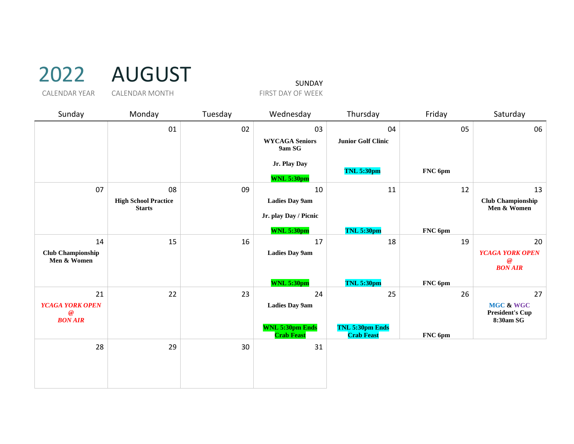# AUGUST SUNDAY

| Sunday                                           | Monday                      | Tuesday | Wednesday                                   | Thursday                             | Friday  | Saturday                                         |
|--------------------------------------------------|-----------------------------|---------|---------------------------------------------|--------------------------------------|---------|--------------------------------------------------|
|                                                  | 01                          | 02      | 03                                          | 04                                   | 05      | 06                                               |
|                                                  |                             |         | <b>WYCAGA Seniors</b><br>9am SG             | <b>Junior Golf Clinic</b>            |         |                                                  |
|                                                  |                             |         | Jr. Play Day<br><b>WNL 5:30pm</b>           | <b>TNL 5:30pm</b>                    | FNC 6pm |                                                  |
| 07                                               | 08                          | 09      | 10                                          | $11\,$                               | 12      | 13                                               |
|                                                  | <b>High School Practice</b> |         | <b>Ladies Day 9am</b>                       |                                      |         | <b>Club Championship</b>                         |
|                                                  | <b>Starts</b>               |         | Jr. play Day / Picnic                       |                                      |         | Men & Women                                      |
|                                                  |                             |         | <b>WNL 5:30pm</b>                           | <b>TNL 5:30pm</b>                    | FNC 6pm |                                                  |
| 14                                               | 15                          | 16      | 17                                          | 18                                   | 19      | 20                                               |
| <b>Club Championship</b><br>Men & Women          |                             |         | <b>Ladies Day 9am</b>                       |                                      |         | YCAGA YORK OPEN<br>$\omega$<br><b>BON AIR</b>    |
|                                                  |                             |         | <b>WNL 5:30pm</b>                           | <b>TNL 5:30pm</b>                    | FNC 6pm |                                                  |
| 21                                               | 22                          | 23      | 24                                          | 25                                   | 26      | 27                                               |
| YCAGA YORK OPEN<br>$\circledR$<br><b>BON AIR</b> |                             |         | <b>Ladies Day 9am</b>                       |                                      |         | MGC & WGC<br><b>President's Cup</b><br>8:30am SG |
|                                                  |                             |         | <b>WNL 5:30pm Ends</b><br><b>Crab Feast</b> | TNL 5:30pm Ends<br><b>Crab Feast</b> | FNC 6pm |                                                  |
| 28                                               | 29                          | 30      | 31                                          |                                      |         |                                                  |
|                                                  |                             |         |                                             |                                      |         |                                                  |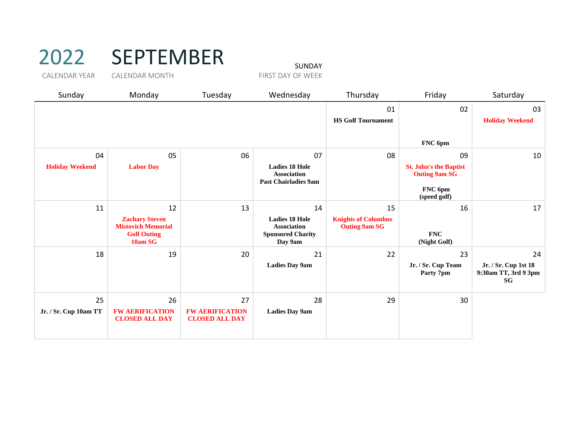# 2022 SEPTEMBER SUNDAY

| Sunday                       | Monday                                                                                    | Tuesday                                               | Wednesday                                                                                | Thursday                                                 | Friday                                                                                 | Saturday                                                 |
|------------------------------|-------------------------------------------------------------------------------------------|-------------------------------------------------------|------------------------------------------------------------------------------------------|----------------------------------------------------------|----------------------------------------------------------------------------------------|----------------------------------------------------------|
|                              |                                                                                           |                                                       |                                                                                          | 01<br><b>HS Golf Tournament</b>                          | 02                                                                                     | 03<br><b>Holiday Weekend</b>                             |
|                              |                                                                                           |                                                       |                                                                                          |                                                          | FNC 6pm                                                                                |                                                          |
| 04<br><b>Holiday Weekend</b> | 05<br><b>Labor Day</b>                                                                    | 06                                                    | 07<br><b>Ladies 18 Hole</b><br><b>Association</b><br><b>Past Chairladies 9am</b>         | 08                                                       | 09<br><b>St. John's the Baptist</b><br><b>Outing 9am SG</b><br>FNC 6pm<br>(speed golf) | 10                                                       |
| 11                           | 12<br><b>Zachary Steven</b><br><b>Mistovich Memorial</b><br><b>Golf Outing</b><br>10am SG | 13                                                    | 14<br><b>Ladies 18 Hole</b><br><b>Association</b><br><b>Sponsored Charity</b><br>Day 9am | 15<br><b>Knights of Columbus</b><br><b>Outing 9am SG</b> | 16<br><b>FNC</b><br>(Night Golf)                                                       | 17                                                       |
| 18                           | 19                                                                                        | 20                                                    | 21<br><b>Ladies Day 9am</b>                                                              | 22                                                       | 23<br>Jr. / Sr. Cup Team<br>Party 7pm                                                  | 24<br>Jr. / Sr. Cup 1st 18<br>9:30am TT, 3rd 9 3pm<br>SG |
| 25<br>Jr. / Sr. Cup 10am TT  | 26<br><b>FW AERIFICATION</b><br><b>CLOSED ALL DAY</b>                                     | 27<br><b>FW AERIFICATION</b><br><b>CLOSED ALL DAY</b> | 28<br><b>Ladies Day 9am</b>                                                              | 29                                                       | 30                                                                                     |                                                          |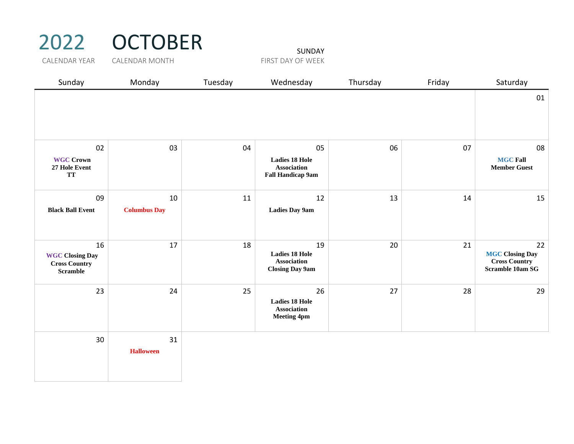2022 OCTOBER SUNDAY

| Sunday                                                                  | Monday                    | Tuesday | Wednesday                                                              | Thursday | Friday | Saturday                                                                 |
|-------------------------------------------------------------------------|---------------------------|---------|------------------------------------------------------------------------|----------|--------|--------------------------------------------------------------------------|
|                                                                         |                           |         |                                                                        |          |        | 01                                                                       |
| 02<br><b>WGC Crown</b><br>27 Hole Event<br><b>TT</b>                    | 03                        | 04      | 05<br><b>Ladies 18 Hole</b><br>Association<br><b>Fall Handicap 9am</b> | 06       | 07     | 08<br><b>MGC Fall</b><br><b>Member Guest</b>                             |
| 09<br><b>Black Ball Event</b>                                           | 10<br><b>Columbus Day</b> | 11      | 12<br><b>Ladies Day 9am</b>                                            | 13       | 14     | 15                                                                       |
| 16<br><b>WGC Closing Day</b><br><b>Cross Country</b><br><b>Scramble</b> | 17                        | 18      | 19<br><b>Ladies 18 Hole</b><br>Association<br><b>Closing Day 9am</b>   | 20       | 21     | 22<br><b>MGC Closing Day</b><br><b>Cross Country</b><br>Scramble 10am SG |
| 23                                                                      | 24                        | 25      | 26<br><b>Ladies 18 Hole</b><br>Association<br><b>Meeting 4pm</b>       | 27       | 28     | 29                                                                       |
| 30                                                                      | 31<br><b>Halloween</b>    |         |                                                                        |          |        |                                                                          |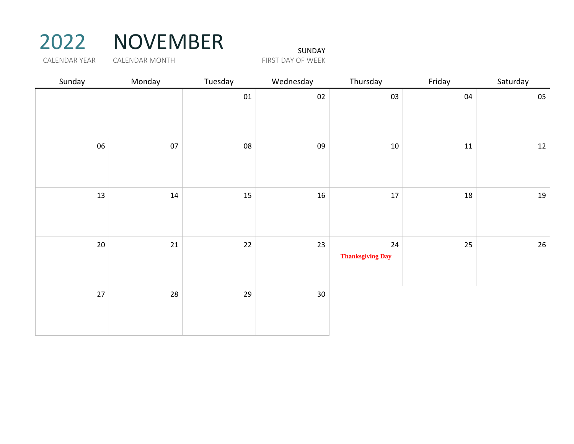2022 NOVEMBER SUNDAY

| Sunday | Monday | Tuesday    | Wednesday | Thursday                      | Friday | Saturday |
|--------|--------|------------|-----------|-------------------------------|--------|----------|
|        |        | ${\tt 01}$ | $02\,$    | 03                            | 04     | 05       |
| 06     | 07     | 08         | 09        | $10\,$                        | $11\,$ | $12$     |
| 13     | $14\,$ | 15         | 16        | $17\,$                        | 18     | 19       |
| $20\,$ | 21     | $22$       | 23        | 24<br><b>Thanksgiving Day</b> | 25     | $26\,$   |
| 27     | 28     | 29         | 30        |                               |        |          |